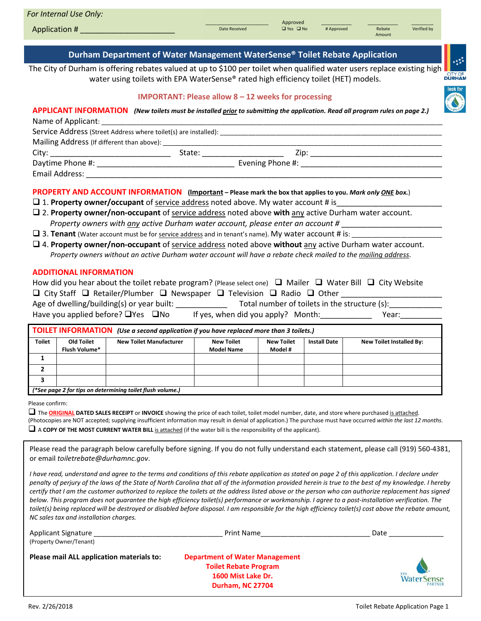| For Internal Use Only:<br>Application #                                                                                                                                                                   | Date Received | Approved<br>$\Box$ Yes $\Box$ No | # Approved | Rebate<br>Amount | Verified by |  |
|-----------------------------------------------------------------------------------------------------------------------------------------------------------------------------------------------------------|---------------|----------------------------------|------------|------------------|-------------|--|
| Durham Department of Water Management WaterSense® Toilet Rebate Application<br>the contract of the contract of the contract of the contract of the contract of the contract of the contract of<br>1.4.4.1 |               |                                  |            |                  |             |  |

The City of Durham is offering rebates valued at up to \$100 per toilet when qualified water users replace existing high water using toilets with EPA WaterSense® rated high efficiency toilet (HET) models.

# **IMPORTANT: Please allow 8 – 12 weeks for processing**



## **APPLICANT INFORMATION** *(New toilets must be installed prior to submitting the application. Read all program rules on page 2.)* Name of Applicant:

| Service Address (Street Address where toilet(s) are installed): |        |                  |  |  |
|-----------------------------------------------------------------|--------|------------------|--|--|
| Mailing Address (If different than above):                      |        |                  |  |  |
| City:                                                           | State: | Zip:             |  |  |
| Daytime Phone #:                                                |        | Evening Phone #: |  |  |
| Email Address:                                                  |        |                  |  |  |

# **PROPERTY AND ACCOUNT INFORMATION (Important – Please mark the box that applies to you.** *Mark only ONE box.*)

- 1. **Property owner/occupant** of service address noted above. My water account # is\_\_\_\_\_\_\_\_\_\_\_\_\_\_\_\_\_\_\_\_\_\_\_\_\_
- 2. **Property owner/non-occupant** of service address noted above **with** any active Durham water account.  *Property owners with any active Durham water account, please enter an account #* \_\_\_\_\_\_\_\_\_\_\_\_\_\_\_\_\_\_\_\_\_\_\_\_
- $\Box$  3. Tenant (Water account must be for service address and in tenant's name). My water account # is:
- 4. **Property owner/non-occupant** of service address noted above **without** any active Durham water account. *Property owners without an active Durham water account will have a rebate check mailed to the mailing address*.

## **ADDITIONAL INFORMATION**

|                                                                                                        | How did you hear about the toilet rebate program? (Please select one) $\Box$ Mailer $\Box$ Water Bill $\Box$ City Website |
|--------------------------------------------------------------------------------------------------------|---------------------------------------------------------------------------------------------------------------------------|
| $\Box$ City Staff $\Box$ Retailer/Plumber $\Box$ Newspaper $\Box$ Television $\Box$ Radio $\Box$ Other |                                                                                                                           |
| Age of dwelling/building(s) or year built:                                                             | Total number of toilets in the structure (s):                                                                             |
| Have you applied before? $\Box$ Yes $\Box$ No                                                          | If yes, when did you apply? Month:<br>Year:                                                                               |

| TOILET INFORMATION (Use a second application if you have replaced more than 3 toilets.) |                                    |                                |                                        |                              |                     |                                 |
|-----------------------------------------------------------------------------------------|------------------------------------|--------------------------------|----------------------------------------|------------------------------|---------------------|---------------------------------|
| <b>Toilet</b>                                                                           | Old Toilet<br><b>Flush Volume*</b> | <b>New Toilet Manufacturer</b> | <b>New Toilet</b><br><b>Model Name</b> | <b>New Toilet</b><br>Model # | <b>Install Date</b> | <b>New Toilet Installed By:</b> |
|                                                                                         |                                    |                                |                                        |                              |                     |                                 |
|                                                                                         |                                    |                                |                                        |                              |                     |                                 |
|                                                                                         |                                    |                                |                                        |                              |                     |                                 |
| (*See page 2 for tips on determining toilet flush volume.)                              |                                    |                                |                                        |                              |                     |                                 |

Please confirm:

 The **ORIGINAL DATED SALES RECEIPT** or **INVOICE** showing the price of each toilet, toilet model number, date, and store where purchased is attached. (Photocopies are NOT accepted; supplying insufficient information may result in denial of application.) The purchase must have occurred *within the last 12 months*.  $\Box$  A **COPY OF THE MOST CURRENT WATER BILL** is attached (if the water bill is the responsibility of the applicant).

Please read the paragraph below carefully before signing. If you do not fully understand each statement, please call (919) 560-4381, or email *toiletrebate@durhamnc.gov*.

*I have read, understand and agree to the terms and conditions of this rebate application as stated on page 2 of this application. I declare under penalty of perjury of the laws of the State of North Carolina that all of the information provided herein is true to the best of my knowledge. I hereby certify that I am the customer authorized to replace the toilets at the address listed above or the person who can authorize replacement has signed below. This program does not guarantee the high efficiency toilet(s) performance or workmanship. I agree to a post-installation verification. The toilet(s) being replaced will be destroyed or disabled before disposal. I am responsible for the high efficiency toilet(s) cost above the rebate amount, NC sales tax and installation charges.*

| <b>Applicant Signature</b><br>(Property Owner/Tenant) | Print Name                                                                                                             | Date                                |  |
|-------------------------------------------------------|------------------------------------------------------------------------------------------------------------------------|-------------------------------------|--|
| Please mail ALL application materials to:             | <b>Department of Water Management</b><br><b>Toilet Rebate Program</b><br>1600 Mist Lake Dr.<br><b>Durham, NC 27704</b> | <b>WaterSense</b><br><b>PARTNER</b> |  |